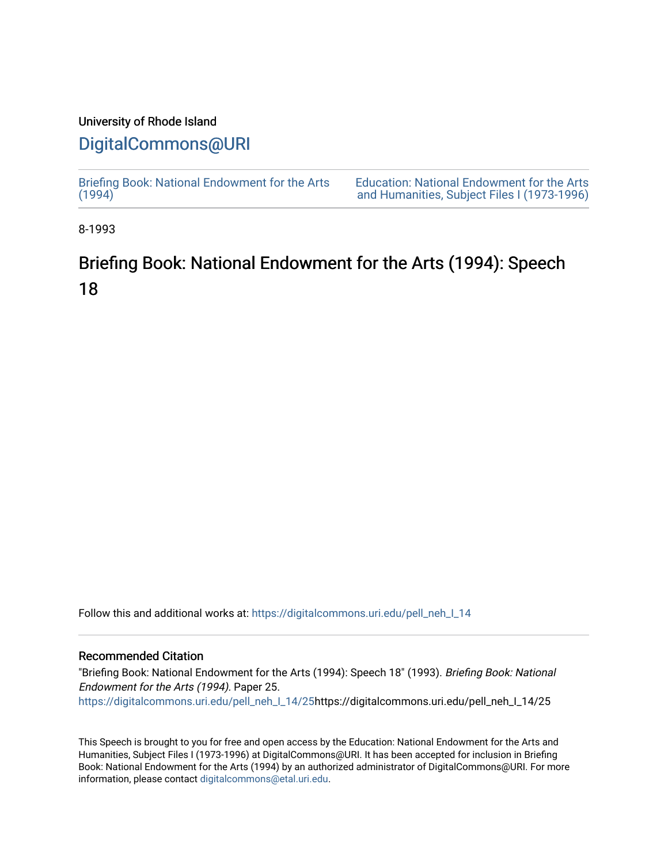## University of Rhode Island

## [DigitalCommons@URI](https://digitalcommons.uri.edu/)

[Briefing Book: National Endowment for the Arts](https://digitalcommons.uri.edu/pell_neh_I_14)  $(1994)$ [Education: National Endowment for the Arts](https://digitalcommons.uri.edu/pell_neh_I)  [and Humanities, Subject Files I \(1973-1996\)](https://digitalcommons.uri.edu/pell_neh_I) 

8-1993

## Briefing Book: National Endowment for the Arts (1994): Speech 18

Follow this and additional works at: [https://digitalcommons.uri.edu/pell\\_neh\\_I\\_14](https://digitalcommons.uri.edu/pell_neh_I_14?utm_source=digitalcommons.uri.edu%2Fpell_neh_I_14%2F25&utm_medium=PDF&utm_campaign=PDFCoverPages) 

## Recommended Citation

"Briefing Book: National Endowment for the Arts (1994): Speech 18" (1993). Briefing Book: National Endowment for the Arts (1994). Paper 25. [https://digitalcommons.uri.edu/pell\\_neh\\_I\\_14/25h](https://digitalcommons.uri.edu/pell_neh_I_14/25?utm_source=digitalcommons.uri.edu%2Fpell_neh_I_14%2F25&utm_medium=PDF&utm_campaign=PDFCoverPages)ttps://digitalcommons.uri.edu/pell\_neh\_I\_14/25

This Speech is brought to you for free and open access by the Education: National Endowment for the Arts and Humanities, Subject Files I (1973-1996) at DigitalCommons@URI. It has been accepted for inclusion in Briefing Book: National Endowment for the Arts (1994) by an authorized administrator of DigitalCommons@URI. For more information, please contact [digitalcommons@etal.uri.edu.](mailto:digitalcommons@etal.uri.edu)